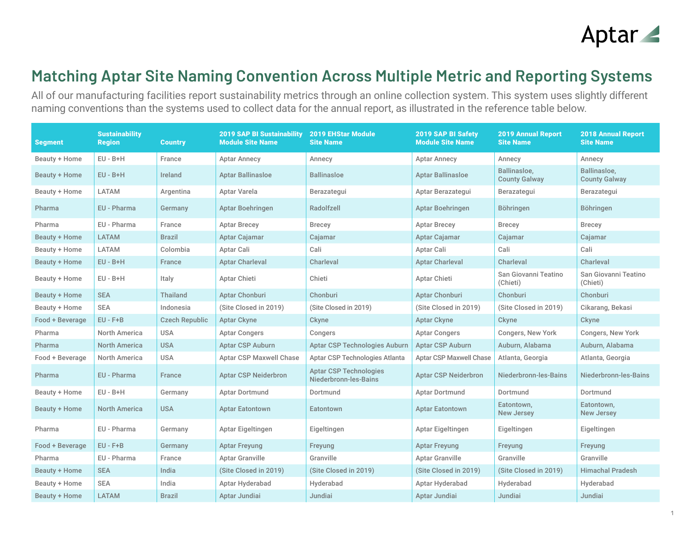## Aptar 4

## **Matching Aptar Site Naming Convention Across Multiple Metric and Reporting Systems**

All of our manufacturing facilities report sustainability metrics through an online collection system. This system uses slightly different naming conventions than the systems used to collect data for the annual report, as illustrated in the reference table below.

| <b>Segment</b>  | <b>Sustainability</b><br><b>Region</b> | <b>Country</b>        | <b>2019 SAP BI Sustainability</b><br><b>Module Site Name</b> | <b>2019 EHStar Module</b><br><b>Site Name</b>          | <b>2019 SAP BI Safety</b><br><b>Module Site Name</b> | <b>2019 Annual Report</b><br><b>Site Name</b> | <b>2018 Annual Report</b><br><b>Site Name</b> |
|-----------------|----------------------------------------|-----------------------|--------------------------------------------------------------|--------------------------------------------------------|------------------------------------------------------|-----------------------------------------------|-----------------------------------------------|
| Beauty + Home   | $EU - B + H$                           | France                | <b>Aptar Annecy</b>                                          | Annecy                                                 | <b>Aptar Annecy</b>                                  | Annecy                                        | Annecy                                        |
| Beauty + Home   | $EU - B + H$                           | Ireland               | <b>Aptar Ballinasloe</b>                                     | <b>Ballinasloe</b>                                     | <b>Aptar Ballinasloe</b>                             | Ballinasloe,<br><b>County Galway</b>          | Ballinasloe,<br><b>County Galway</b>          |
| Beauty + Home   | LATAM                                  | Argentina             | Aptar Varela                                                 | Berazategui                                            | Aptar Berazategui                                    | Berazategui                                   | Berazategui                                   |
| Pharma          | EU - Pharma                            | Germany               | <b>Aptar Boehringen</b>                                      | Radolfzell                                             | Aptar Boehringen                                     | <b>Böhringen</b>                              | <b>Böhringen</b>                              |
| Pharma          | EU - Pharma                            | France                | <b>Aptar Brecey</b>                                          | <b>Brecey</b>                                          | <b>Aptar Brecey</b>                                  | <b>Brecey</b>                                 | <b>Brecey</b>                                 |
| Beauty + Home   | <b>LATAM</b>                           | <b>Brazil</b>         | Aptar Cajamar                                                | Cajamar                                                | Aptar Cajamar                                        | Cajamar                                       | Cajamar                                       |
| Beauty + Home   | LATAM                                  | Colombia              | Aptar Cali                                                   | Cali                                                   | Aptar Cali                                           | Cali                                          | Cali                                          |
| Beauty + Home   | $EU - B + H$                           | France                | <b>Aptar Charleval</b>                                       | Charleval                                              | <b>Aptar Charleval</b>                               | Charleval                                     | Charleval                                     |
| Beauty + Home   | $EU - B + H$                           | Italy                 | Aptar Chieti                                                 | Chieti                                                 | Aptar Chieti                                         | San Giovanni Teatino<br>(Chieti)              | San Giovanni Teatino<br>(Chieti)              |
| Beauty + Home   | <b>SEA</b>                             | <b>Thailand</b>       | Aptar Chonburi                                               | Chonburi                                               | Aptar Chonburi                                       | Chonburi                                      | Chonburi                                      |
| Beauty + Home   | <b>SEA</b>                             | Indonesia             | (Site Closed in 2019)                                        | (Site Closed in 2019)                                  | (Site Closed in 2019)                                | (Site Closed in 2019)                         | Cikarang, Bekasi                              |
| Food + Beverage | $EU - F + B$                           | <b>Czech Republic</b> | <b>Aptar Ckyne</b>                                           | Ckyne                                                  | <b>Aptar Ckyne</b>                                   | Ckyne                                         | Ckyne                                         |
| Pharma          | North America                          | <b>USA</b>            | <b>Aptar Congers</b>                                         | Congers                                                | <b>Aptar Congers</b>                                 | Congers, New York                             | Congers, New York                             |
| Pharma          | <b>North America</b>                   | <b>USA</b>            | <b>Aptar CSP Auburn</b>                                      | Aptar CSP Technologies Auburn                          | <b>Aptar CSP Auburn</b>                              | Auburn, Alabama                               | Auburn, Alabama                               |
| Food + Beverage | North America                          | <b>USA</b>            | <b>Aptar CSP Maxwell Chase</b>                               | Aptar CSP Technologies Atlanta                         | <b>Aptar CSP Maxwell Chase</b>                       | Atlanta, Georgia                              | Atlanta, Georgia                              |
| Pharma          | EU - Pharma                            | France                | <b>Aptar CSP Neiderbron</b>                                  | <b>Aptar CSP Technologies</b><br>Niederbronn-les-Bains | <b>Aptar CSP Neiderbron</b>                          | Niederbronn-les-Bains                         | Niederbronn-les-Bains                         |
| Beauty + Home   | $EU - B + H$                           | Germany               | Aptar Dortmund                                               | Dortmund                                               | <b>Aptar Dortmund</b>                                | Dortmund                                      | Dortmund                                      |
| Beauty + Home   | <b>North America</b>                   | <b>USA</b>            | <b>Aptar Eatontown</b>                                       | Eatontown                                              | <b>Aptar Eatontown</b>                               | Eatontown,<br><b>New Jersey</b>               | Eatontown,<br><b>New Jersey</b>               |
| Pharma          | EU - Pharma                            | Germany               | Aptar Eigeltingen                                            | Eigeltingen                                            | Aptar Eigeltingen                                    | Eigeltingen                                   | Eigeltingen                                   |
| Food + Beverage | $EU - F + B$                           | Germany               | <b>Aptar Freyung</b>                                         | Freyung                                                | <b>Aptar Freyung</b>                                 | Freyung                                       | Freyung                                       |
| Pharma          | EU - Pharma                            | France                | <b>Aptar Granville</b>                                       | Granville                                              | <b>Aptar Granville</b>                               | Granville                                     | Granville                                     |
| Beauty + Home   | <b>SEA</b>                             | India                 | (Site Closed in 2019)                                        | (Site Closed in 2019)                                  | (Site Closed in 2019)                                | (Site Closed in 2019)                         | <b>Himachal Pradesh</b>                       |
| Beauty + Home   | <b>SEA</b>                             | India                 | Aptar Hyderabad                                              | Hyderabad                                              | Aptar Hyderabad                                      | Hyderabad                                     | Hyderabad                                     |
| Beauty + Home   | <b>LATAM</b>                           | <b>Brazil</b>         | Aptar Jundiai                                                | Jundiai                                                | Aptar Jundiai                                        | Jundiai                                       | Jundiai                                       |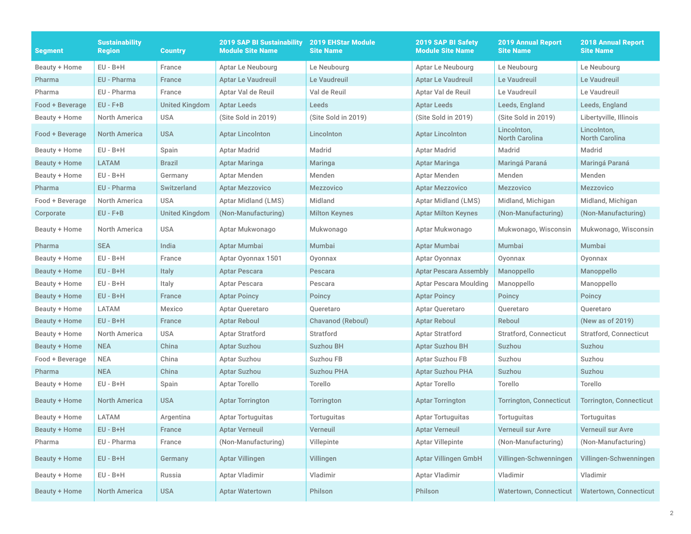| Segment              | <b>Sustainability</b><br><b>Region</b> | <b>Country</b>        | <b>2019 SAP BI Sustainability</b><br><b>Module Site Name</b> | <b>2019 EHStar Module</b><br><b>Site Name</b> | 2019 SAP BI Safety<br><b>Module Site Name</b> | <b>2019 Annual Report</b><br><b>Site Name</b> | <b>2018 Annual Report</b><br><b>Site Name</b> |
|----------------------|----------------------------------------|-----------------------|--------------------------------------------------------------|-----------------------------------------------|-----------------------------------------------|-----------------------------------------------|-----------------------------------------------|
| Beauty + Home        | $EU - B + H$                           | France                | Aptar Le Neubourg                                            | Le Neubourg                                   | Aptar Le Neubourg                             | Le Neubourg                                   | Le Neubourg                                   |
| Pharma               | EU - Pharma                            | France                | <b>Aptar Le Vaudreuil</b>                                    | Le Vaudreuil                                  | <b>Aptar Le Vaudreuil</b>                     | Le Vaudreuil                                  | Le Vaudreuil                                  |
| Pharma               | EU - Pharma                            | France                | Aptar Val de Reuil                                           | Val de Reuil                                  | Aptar Val de Reuil                            | Le Vaudreuil                                  | Le Vaudreuil                                  |
| Food + Beverage      | $EU$ - $F+B$                           | <b>United Kingdom</b> | Aptar Leeds                                                  | Leeds                                         | <b>Aptar Leeds</b>                            | Leeds, England                                | Leeds, England                                |
| Beauty + Home        | North America                          | <b>USA</b>            | (Site Sold in 2019)                                          | (Site Sold in 2019)                           | (Site Sold in 2019)                           | (Site Sold in 2019)                           | Libertyville, Illinois                        |
| Food + Beverage      | <b>North America</b>                   | <b>USA</b>            | <b>Aptar Lincolnton</b>                                      | Lincolnton                                    | <b>Aptar Lincolnton</b>                       | Lincolnton,<br><b>North Carolina</b>          | Lincolnton,<br><b>North Carolina</b>          |
| Beauty + Home        | $EU - B + H$                           | Spain                 | Aptar Madrid                                                 | Madrid                                        | Aptar Madrid                                  | Madrid                                        | Madrid                                        |
| Beauty + Home        | <b>LATAM</b>                           | <b>Brazil</b>         | Aptar Maringa                                                | Maringa                                       | Aptar Maringa                                 | Maringá Paraná                                | Maringá Paraná                                |
| Beauty + Home        | $EU - B + H$                           | Germany               | Aptar Menden                                                 | Menden                                        | Aptar Menden                                  | Menden                                        | Menden                                        |
| Pharma               | EU - Pharma                            | Switzerland           | <b>Aptar Mezzovico</b>                                       | <b>Mezzovico</b>                              | Aptar Mezzovico                               | <b>Mezzovico</b>                              | <b>Mezzovico</b>                              |
| Food + Beverage      | <b>North America</b>                   | <b>USA</b>            | Aptar Midland (LMS)                                          | Midland                                       | Aptar Midland (LMS)                           | Midland, Michigan                             | Midland, Michigan                             |
| Corporate            | $EU - F + B$                           | <b>United Kingdom</b> | (Non-Manufacturing)                                          | <b>Milton Keynes</b>                          | <b>Aptar Milton Keynes</b>                    | (Non-Manufacturing)                           | (Non-Manufacturing)                           |
| Beauty + Home        | North America                          | <b>USA</b>            | Aptar Mukwonago                                              | Mukwonago                                     | Aptar Mukwonago                               | Mukwonago, Wisconsin                          | Mukwonago, Wisconsin                          |
| Pharma               | <b>SEA</b>                             | India                 | Aptar Mumbai                                                 | Mumbai                                        | Aptar Mumbai                                  | Mumbai                                        | Mumbai                                        |
| Beauty + Home        | $EU - B + H$                           | France                | Aptar Oyonnax 1501                                           | Oyonnax                                       | Aptar Oyonnax                                 | Oyonnax                                       | Oyonnax                                       |
| Beauty + Home        | $EU - B + H$                           | Italy                 | <b>Aptar Pescara</b>                                         | Pescara                                       | <b>Aptar Pescara Assembly</b>                 | Manoppello                                    | Manoppello                                    |
| Beauty + Home        | $EU - B + H$                           | Italy                 | Aptar Pescara                                                | Pescara                                       | Aptar Pescara Moulding                        | Manoppello                                    | Manoppello                                    |
| <b>Beauty + Home</b> | $EU - B + H$                           | France                | <b>Aptar Poincy</b>                                          | Poincy                                        | <b>Aptar Poincy</b>                           | Poincy                                        | Poincy                                        |
| Beauty + Home        | <b>LATAM</b>                           | Mexico                | Aptar Queretaro                                              | Queretaro                                     | Aptar Queretaro                               | Queretaro                                     | Queretaro                                     |
| Beauty + Home        | $EU - B + H$                           | France                | <b>Aptar Reboul</b>                                          | Chavanod (Reboul)                             | <b>Aptar Reboul</b>                           | Reboul                                        | (New as of 2019)                              |
| Beauty + Home        | North America                          | <b>USA</b>            | <b>Aptar Stratford</b>                                       | Stratford                                     | Aptar Stratford                               | <b>Stratford, Connecticut</b>                 | <b>Stratford, Connecticut</b>                 |
| <b>Beauty + Home</b> | <b>NEA</b>                             | China                 | <b>Aptar Suzhou</b>                                          | <b>Suzhou BH</b>                              | <b>Aptar Suzhou BH</b>                        | Suzhou                                        | Suzhou                                        |
| Food + Beverage      | <b>NEA</b>                             | China                 | Aptar Suzhou                                                 | Suzhou FB                                     | Aptar Suzhou FB                               | Suzhou                                        | Suzhou                                        |
| Pharma               | <b>NEA</b>                             | China                 | <b>Aptar Suzhou</b>                                          | <b>Suzhou PHA</b>                             | <b>Aptar Suzhou PHA</b>                       | Suzhou                                        | Suzhou                                        |
| Beauty + Home        | $EU - B + H$                           | Spain                 | Aptar Torello                                                | Torello                                       | Aptar Torello                                 | Torello                                       | Torello                                       |
| Beauty + Home        | <b>North America</b>                   | <b>USA</b>            | <b>Aptar Torrington</b>                                      | <b>Torrington</b>                             | Aptar Torrington                              | <b>Torrington, Connecticut</b>                | <b>Torrington, Connecticut</b>                |
| Beauty + Home        | <b>LATAM</b>                           | Argentina             | <b>Aptar Tortuguitas</b>                                     | Tortuguitas                                   | <b>Aptar Tortuguitas</b>                      | <b>Tortuguitas</b>                            | Tortuguitas                                   |
| Beauty + Home        | $EU - B + H$                           | France                | <b>Aptar Verneuil</b>                                        | Verneuil                                      | <b>Aptar Verneuil</b>                         | Verneuil sur Avre                             | Verneuil sur Avre                             |
| Pharma               | EU - Pharma                            | France                | (Non-Manufacturing)                                          | Villepinte                                    | <b>Aptar Villepinte</b>                       | (Non-Manufacturing)                           | (Non-Manufacturing)                           |
| Beauty + Home        | $EU - B + H$                           | Germany               | <b>Aptar Villingen</b>                                       | Villingen                                     | <b>Aptar Villingen GmbH</b>                   | Villingen-Schwenningen                        | Villingen-Schwenningen                        |
| Beauty + Home        | $EU - B + H$                           | Russia                | Aptar Vladimir                                               | Vladimir                                      | Aptar Vladimir                                | Vladimir                                      | Vladimir                                      |
| <b>Beauty + Home</b> | <b>North America</b>                   | <b>USA</b>            | <b>Aptar Watertown</b>                                       | Philson                                       | Philson                                       | <b>Watertown, Connecticut</b>                 | <b>Watertown, Connecticut</b>                 |